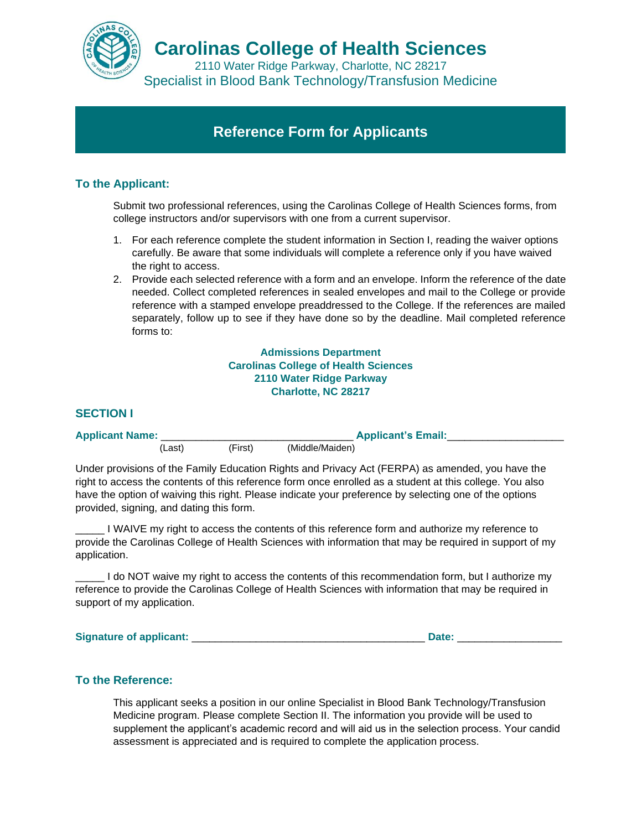

2110 Water Ridge Parkway, Charlotte, NC 28217 Specialist in Blood Bank Technology/Transfusion Medicine

# **Reference Form for Applicants**

## **To the Applicant:**

Submit two professional references, using the Carolinas College of Health Sciences forms, from college instructors and/or supervisors with one from a current supervisor.

- 1. For each reference complete the student information in Section I, reading the waiver options carefully. Be aware that some individuals will complete a reference only if you have waived the right to access.
- 2. Provide each selected reference with a form and an envelope. Inform the reference of the date needed. Collect completed references in sealed envelopes and mail to the College or provide reference with a stamped envelope preaddressed to the College. If the references are mailed separately, follow up to see if they have done so by the deadline. Mail completed reference forms to:

**Admissions Department Carolinas College of Health Sciences 2110 Water Ridge Parkway Charlotte, NC 28217**

#### **SECTION I**

| <b>Applicant Name:</b> |         | <b>Applicant's Email:</b> |                 |  |
|------------------------|---------|---------------------------|-----------------|--|
|                        | ,Last). | (First)                   | (Middle/Maiden) |  |

Under provisions of the Family Education Rights and Privacy Act (FERPA) as amended, you have the right to access the contents of this reference form once enrolled as a student at this college. You also have the option of waiving this right. Please indicate your preference by selecting one of the options provided, signing, and dating this form.

\_\_\_\_\_ I WAIVE my right to access the contents of this reference form and authorize my reference to provide the Carolinas College of Health Sciences with information that may be required in support of my application.

\_\_\_\_\_ I do NOT waive my right to access the contents of this recommendation form, but I authorize my reference to provide the Carolinas College of Health Sciences with information that may be required in support of my application.

Signature of applicant: **Example 2018** and 2018 and 2018 and 2018 and 2018 and 2018 and 2018 and 2018 and 2018 and 2018 and 2018 and 2018 and 2018 and 2018 and 2018 and 2018 and 2018 and 2018 and 2018 and 2018 and 2018 and

### **To the Reference:**

This applicant seeks a position in our online Specialist in Blood Bank Technology/Transfusion Medicine program. Please complete Section II. The information you provide will be used to supplement the applicant's academic record and will aid us in the selection process. Your candid assessment is appreciated and is required to complete the application process.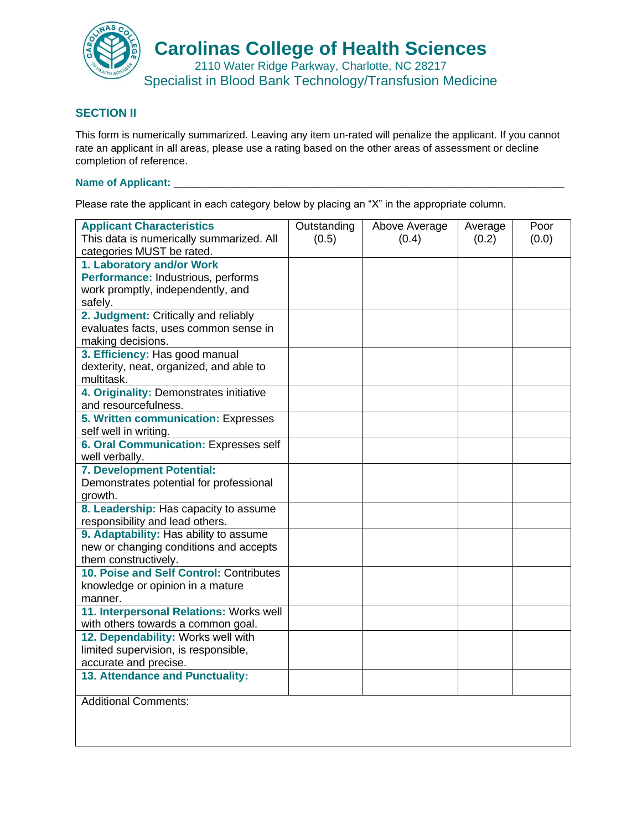

Specialist in Blood Bank Technology/Transfusion Medicine

### **SECTION II**

This form is numerically summarized. Leaving any item un-rated will penalize the applicant. If you cannot rate an applicant in all areas, please use a rating based on the other areas of assessment or decline completion of reference.

## **Name of Applicant:** \_\_\_\_\_\_\_\_\_\_\_\_\_\_\_\_\_\_\_\_\_\_\_\_\_\_\_\_\_\_\_\_\_\_\_\_\_\_\_\_\_\_\_\_\_\_\_\_\_\_\_\_\_\_\_\_\_\_\_\_\_\_\_\_\_\_\_

Please rate the applicant in each category below by placing an "X" in the appropriate column.

| <b>Applicant Characteristics</b><br>This data is numerically summarized. All | Outstanding<br>(0.5) | Above Average<br>(0.4) | Average<br>(0.2) | Poor<br>(0.0) |
|------------------------------------------------------------------------------|----------------------|------------------------|------------------|---------------|
| categories MUST be rated.                                                    |                      |                        |                  |               |
| 1. Laboratory and/or Work                                                    |                      |                        |                  |               |
| Performance: Industrious, performs                                           |                      |                        |                  |               |
| work promptly, independently, and                                            |                      |                        |                  |               |
| safely.                                                                      |                      |                        |                  |               |
| 2. Judgment: Critically and reliably                                         |                      |                        |                  |               |
| evaluates facts, uses common sense in                                        |                      |                        |                  |               |
| making decisions.                                                            |                      |                        |                  |               |
| 3. Efficiency: Has good manual                                               |                      |                        |                  |               |
| dexterity, neat, organized, and able to                                      |                      |                        |                  |               |
| multitask.                                                                   |                      |                        |                  |               |
| 4. Originality: Demonstrates initiative<br>and resourcefulness.              |                      |                        |                  |               |
|                                                                              |                      |                        |                  |               |
| 5. Written communication: Expresses<br>self well in writing.                 |                      |                        |                  |               |
| 6. Oral Communication: Expresses self                                        |                      |                        |                  |               |
| well verbally.                                                               |                      |                        |                  |               |
| 7. Development Potential:                                                    |                      |                        |                  |               |
| Demonstrates potential for professional                                      |                      |                        |                  |               |
| growth.                                                                      |                      |                        |                  |               |
| 8. Leadership: Has capacity to assume                                        |                      |                        |                  |               |
| responsibility and lead others.                                              |                      |                        |                  |               |
| 9. Adaptability: Has ability to assume                                       |                      |                        |                  |               |
| new or changing conditions and accepts                                       |                      |                        |                  |               |
| them constructively.                                                         |                      |                        |                  |               |
| 10. Poise and Self Control: Contributes                                      |                      |                        |                  |               |
| knowledge or opinion in a mature                                             |                      |                        |                  |               |
| manner.                                                                      |                      |                        |                  |               |
| 11. Interpersonal Relations: Works well                                      |                      |                        |                  |               |
| with others towards a common goal.                                           |                      |                        |                  |               |
| 12. Dependability: Works well with                                           |                      |                        |                  |               |
| limited supervision, is responsible,                                         |                      |                        |                  |               |
| accurate and precise.                                                        |                      |                        |                  |               |
| 13. Attendance and Punctuality:                                              |                      |                        |                  |               |
| <b>Additional Comments:</b>                                                  |                      |                        |                  |               |
|                                                                              |                      |                        |                  |               |
|                                                                              |                      |                        |                  |               |